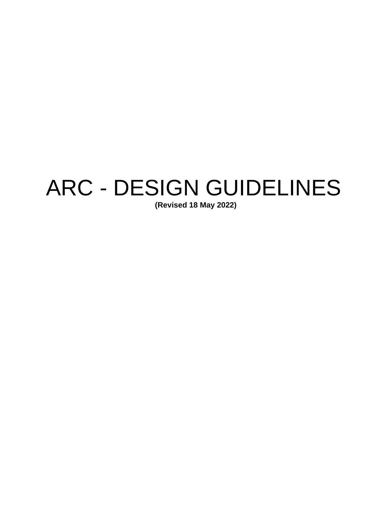# ARC - DESIGN GUIDELINES

**(Revised 18 May 2022)**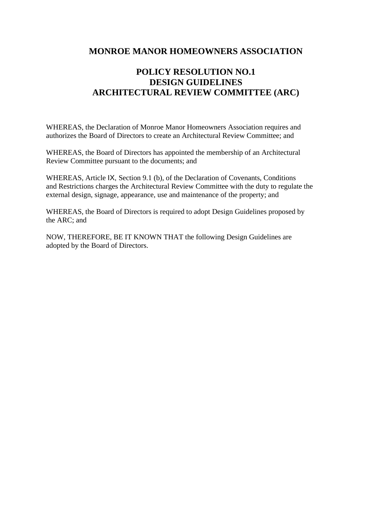## **MONROE MANOR HOMEOWNERS ASSOCIATION**

# **POLICY RESOLUTION NO.1 DESIGN GUIDELINES ARCHITECTURAL REVIEW COMMITTEE (ARC)**

WHEREAS, the Declaration of Monroe Manor Homeowners Association requires and authorizes the Board of Directors to create an Architectural Review Committee; and

WHEREAS, the Board of Directors has appointed the membership of an Architectural Review Committee pursuant to the documents; and

WHEREAS, Article IX, Section 9.1 (b), of the Declaration of Covenants, Conditions and Restrictions charges the Architectural Review Committee with the duty to regulate the external design, signage, appearance, use and maintenance of the property; and

WHEREAS, the Board of Directors is required to adopt Design Guidelines proposed by the ARC; and

NOW, THEREFORE, BE IT KNOWN THAT the following Design Guidelines are adopted by the Board of Directors.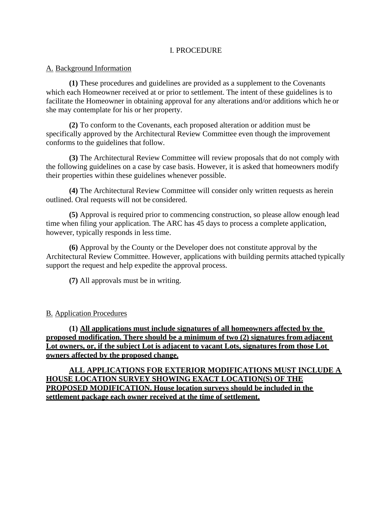## I. PROCEDURE

## A. Background Information

**(1)** These procedures and guidelines are provided as a supplement to the Covenants which each Homeowner received at or prior to settlement. The intent of these guidelines is to facilitate the Homeowner in obtaining approval for any alterations and/or additions which he or she may contemplate for his or her property.

**(2)** To conform to the Covenants, each proposed alteration or addition must be specifically approved by the Architectural Review Committee even though the improvement conforms to the guidelines that follow.

**(3)** The Architectural Review Committee will review proposals that do not comply with the following guidelines on a case by case basis. However, it is asked that homeowners modify their properties within these guidelines whenever possible.

**(4)** The Architectural Review Committee will consider only written requests as herein outlined. Oral requests will not be considered.

**(5)** Approval is required prior to commencing construction, so please allow enough lead time when filing your application. The ARC has 45 days to process a complete application, however, typically responds in less time.

**(6)** Approval by the County or the Developer does not constitute approval by the Architectural Review Committee. However, applications with building permits attached typically support the request and help expedite the approval process.

**(7)** All approvals must be in writing.

## B. Application Procedures

**(1) All applications must include signatures of all homeowners affected by the proposed modification. There should be a minimum of two (2) signatures from adjacent Lot owners, or, if the subject Lot is adjacent to vacant Lots, signatures from those Lot owners affected by the proposed change.**

**ALL APPLICATIONS FOR EXTERIOR MODIFICATIONS MUST INCLUDE A HOUSE LOCATION SURVEY SHOWING EXACT LOCATION(S) OF THE PROPOSED MODIFICATION. House location surveys should be included in the settlement package each owner received at the time of settlement.**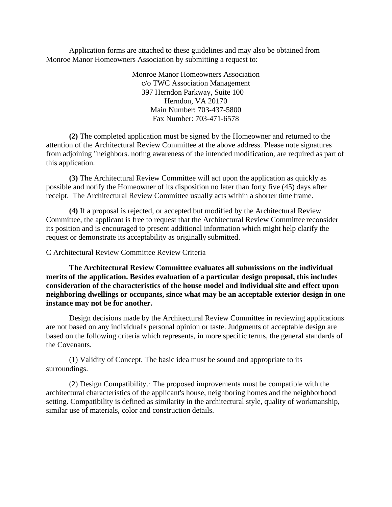Application forms are attached to these guidelines and may also be obtained from Monroe Manor Homeowners Association by submitting a request to:

> Monroe Manor Homeowners Association c/o TWC Association Management 397 Herndon Parkway, Suite 100 Herndon, VA 20170 Main Number: 703-437-5800 Fax Number: 703-471-6578

**(2)** The completed application must be signed by the Homeowner and returned to the attention of the Architectural Review Committee at the above address. Please note signatures from adjoining "neighbors. noting awareness of the intended modification, are required as part of this application.

**(3)** The Architectural Review Committee will act upon the application as quickly as possible and notify the Homeowner of its disposition no later than forty five (45) days after receipt. The Architectural Review Committee usually acts within a shorter time frame.

**(4)** If a proposal is rejected, or accepted but modified by the Architectural Review Committee, the applicant is free to request that the Architectural Review Committee reconsider its position and is encouraged to present additional information which might help clarify the request or demonstrate its acceptability as originally submitted.

#### C Architectural Review Committee Review Criteria

**The Architectural Review Committee evaluates all submissions on the individual merits of the application. Besides evaluation of a particular design proposal, this includes consideration of the characteristics of the house model and individual site and effect upon neighboring dwellings or occupants, since what may be an acceptable exterior design in one instance may not be for another.**

Design decisions made by the Architectural Review Committee in reviewing applications are not based on any individual's personal opinion or taste. Judgments of acceptable design are based on the following criteria which represents, in more specific terms, the general standards of the Covenants.

(1) Validity of Concept. The basic idea must be sound and appropriate to its surroundings.

(2) Design Compatibility.· The proposed improvements must be compatible with the architectural characteristics of the applicant's house, neighboring homes and the neighborhood setting. Compatibility is defined as similarity in the architectural style, quality of workmanship, similar use of materials, color and construction details.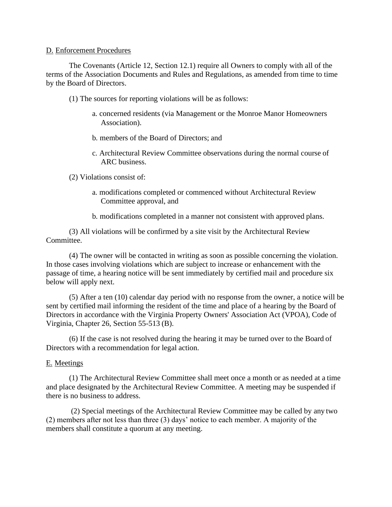#### D. Enforcement Procedures

The Covenants (Article 12, Section 12.1) require all Owners to comply with all of the terms of the Association Documents and Rules and Regulations, as amended from time to time by the Board of Directors.

- (1) The sources for reporting violations will be as follows:
	- a. concerned residents (via Management or the Monroe Manor Homeowners Association).
	- b. members of the Board of Directors; and
	- c. Architectural Review Committee observations during the normal course of ARC business.

(2) Violations consist of:

- a. modifications completed or commenced without Architectural Review Committee approval, and
- b. modifications completed in a manner not consistent with approved plans.

(3) All violations will be confirmed by a site visit by the Architectural Review Committee.

(4) The owner will be contacted in writing as soon as possible concerning the violation. In those cases involving violations which are subject to increase or enhancement with the passage of time, a hearing notice will be sent immediately by certified mail and procedure six below will apply next.

(5) After a ten (10) calendar day period with no response from the owner, a notice will be sent by certified mail informing the resident of the time and place of a hearing by the Board of Directors in accordance with the Virginia Property Owners' Association Act (VPOA), Code of Virginia, Chapter 26, Section 55-513 (B).

(6) If the case is not resolved during the hearing it may be turned over to the Board of Directors with a recommendation for legal action.

#### E. Meetings

(1) The Architectural Review Committee shall meet once a month or as needed at a time and place designated by the Architectural Review Committee. A meeting may be suspended if there is no business to address.

(2) Special meetings of the Architectural Review Committee may be called by any two (2) members after not less than three (3) days' notice to each member. A majority of the members shall constitute a quorum at any meeting.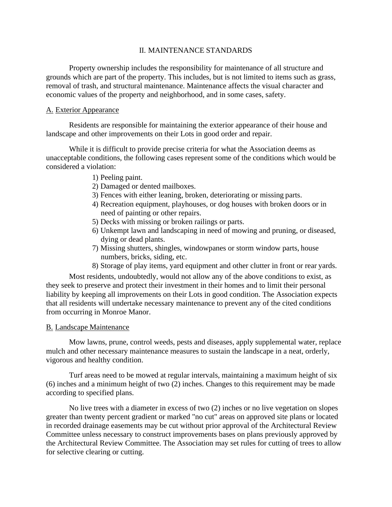### II. MAINTENANCE STANDARDS

Property ownership includes the responsibility for maintenance of all structure and grounds which are part of the property. This includes, but is not limited to items such as grass, removal of trash, and structural maintenance. Maintenance affects the visual character and economic values of the property and neighborhood, and in some cases, safety.

## A. Exterior Appearance

Residents are responsible for maintaining the exterior appearance of their house and landscape and other improvements on their Lots in good order and repair.

While it is difficult to provide precise criteria for what the Association deems as unacceptable conditions, the following cases represent some of the conditions which would be considered a violation:

- 1) Peeling paint.
- 2) Damaged or dented mailboxes.
- 3) Fences with either leaning, broken, deteriorating or missing parts.
- 4) Recreation equipment, playhouses, or dog houses with broken doors or in need of painting or other repairs.
- 5) Decks with missing or broken railings or parts.
- 6) Unkempt lawn and landscaping in need of mowing and pruning, or diseased, dying or dead plants.
- 7) Missing shutters, shingles, windowpanes or storm window parts, house numbers, bricks, siding, etc.
- 8) Storage of play items, yard equipment and other clutter in front or rear yards.

Most residents, undoubtedly, would not allow any of the above conditions to exist, as they seek to preserve and protect their investment in their homes and to limit their personal liability by keeping all improvements on their Lots in good condition. The Association expects that all residents will undertake necessary maintenance to prevent any of the cited conditions from occurring in Monroe Manor.

#### B. Landscape Maintenance

Mow lawns, prune, control weeds, pests and diseases, apply supplemental water, replace mulch and other necessary maintenance measures to sustain the landscape in a neat, orderly, vigorous and healthy condition.

Turf areas need to be mowed at regular intervals, maintaining a maximum height of six (6) inches and a minimum height of two (2) inches. Changes to this requirement may be made according to specified plans.

No live trees with a diameter in excess of two (2) inches or no live vegetation on slopes greater than twenty percent gradient or marked "no cut" areas on approved site plans or located in recorded drainage easements may be cut without prior approval of the Architectural Review Committee unless necessary to construct improvements bases on plans previously approved by the Architectural Review Committee. The Association may set rules for cutting of trees to allow for selective clearing or cutting.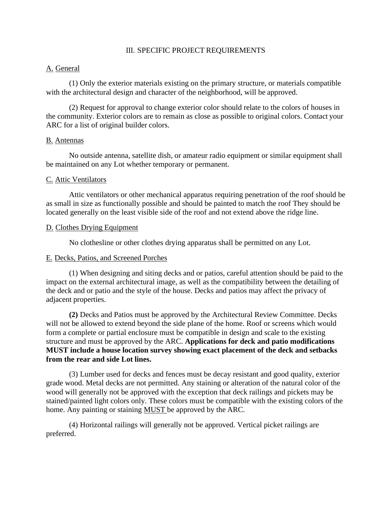### III. SPECIFIC PROJECT REQUIREMENTS

### A. General

(1) Only the exterior materials existing on the primary structure, or materials compatible with the architectural design and character of the neighborhood, will be approved.

(2) Request for approval to change exterior color should relate to the colors of houses in the community. Exterior colors are to remain as close as possible to original colors. Contact your ARC for a list of original builder colors.

#### B. Antennas

No outside antenna, satellite dish, or amateur radio equipment or similar equipment shall be maintained on any Lot whether temporary or permanent.

#### C. Attic Ventilators

Attic ventilators or other mechanical apparatus requiring penetration of the roof should be as small in size as functionally possible and should be painted to match the roof They should be located generally on the least visible side of the roof and not extend above the ridge line.

#### D. Clothes Drying Equipment

No clothesline or other clothes drying apparatus shall be permitted on any Lot.

#### E. Decks, Patios, and Screened Porches

(1) When designing and siting decks and or patios, careful attention should be paid to the impact on the external architectural image, as well as the compatibility between the detailing of the deck and or patio and the style of the house. Decks and patios may affect the privacy of adjacent properties.

**(2)** Decks and Patios must be approved by the Architectural Review Committee. Decks will not be allowed to extend beyond the side plane of the home. Roof or screens which would form a complete or partial enclosure must be compatible in design and scale to the existing structure and must be approved by the ARC. **Applications for deck and patio modifications MUST include a house location survey showing exact placement of the deck and setbacks from the rear and side Lot lines.**

(3) Lumber used for decks and fences must be decay resistant and good quality, exterior grade wood. Metal decks are not permitted. Any staining or alteration of the natural color of the wood will generally not be approved with the exception that deck railings and pickets may be stained/painted light colors only. These colors must be compatible with the existing colors of the home. Any painting or staining MUST be approved by the ARC.

(4) Horizontal railings will generally not be approved. Vertical picket railings are preferred.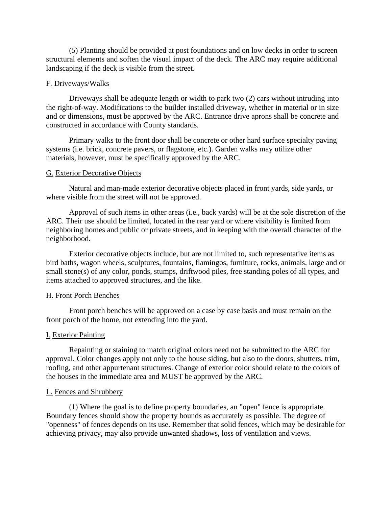(5) Planting should be provided at post foundations and on low decks in order to screen structural elements and soften the visual impact of the deck. The ARC may require additional landscaping if the deck is visible from the street.

#### F. Driveways/Walks

Driveways shall be adequate length or width to park two (2) cars without intruding into the right-of-way. Modifications to the builder installed driveway, whether in material or in size and or dimensions, must be approved by the ARC. Entrance drive aprons shall be concrete and constructed in accordance with County standards.

Primary walks to the front door shall be concrete or other hard surface specialty paving systems (i.e. brick, concrete pavers, or flagstone, etc.). Garden walks may utilize other materials, however, must be specifically approved by the ARC.

#### G. Exterior Decorative Objects

Natural and man-made exterior decorative objects placed in front yards, side yards, or where visible from the street will not be approved.

Approval of such items in other areas (i.e., back yards) will be at the sole discretion of the ARC. Their use should be limited, located in the rear yard or where visibility is limited from neighboring homes and public or private streets, and in keeping with the overall character of the neighborhood.

Exterior decorative objects include, but are not limited to, such representative items as bird baths, wagon wheels, sculptures, fountains, flamingos, furniture, rocks, animals, large and or small stone(s) of any color, ponds, stumps, driftwood piles, free standing poles of all types, and items attached to approved structures, and the like.

#### H. Front Porch Benches

Front porch benches will be approved on a case by case basis and must remain on the front porch of the home, not extending into the yard.

#### I. Exterior Painting

Repainting or staining to match original colors need not be submitted to the ARC for approval. Color changes apply not only to the house siding, but also to the doors, shutters, trim, roofing, and other appurtenant structures. Change of exterior color should relate to the colors of the houses in the immediate area and MUST be approved by the ARC.

#### L. Fences and Shrubbery

(1) Where the goal is to define property boundaries, an "open" fence is appropriate. Boundary fences should show the property bounds as accurately as possible. The degree of "openness" of fences depends on its use. Remember that solid fences, which may be desirable for achieving privacy, may also provide unwanted shadows, loss of ventilation and views.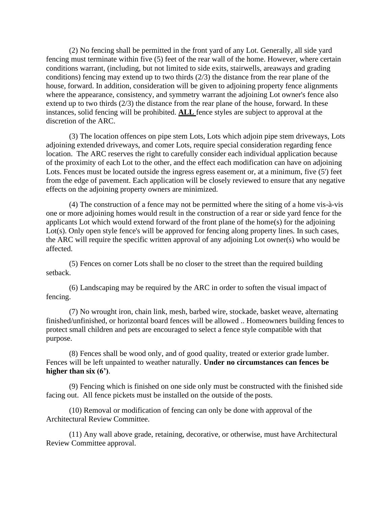(2) No fencing shall be permitted in the front yard of any Lot. Generally, all side yard fencing must terminate within five (5) feet of the rear wall of the home. However, where certain conditions warrant, (including, but not limited to side exits, stairwells, areaways and grading conditions) fencing may extend up to two thirds (2/3) the distance from the rear plane of the house, forward. In addition, consideration will be given to adjoining property fence alignments where the appearance, consistency, and symmetry warrant the adjoining Lot owner's fence also extend up to two thirds (2/3) the distance from the rear plane of the house, forward. In these instances, solid fencing will be prohibited. **ALL** fence styles are subject to approval at the discretion of the ARC.

(3) The location offences on pipe stem Lots, Lots which adjoin pipe stem driveways, Lots adjoining extended driveways, and comer Lots, require special consideration regarding fence location. The ARC reserves the right to carefully consider each individual application because of the proximity of each Lot to the other, and the effect each modification can have on adjoining Lots. Fences must be located outside the ingress egress easement or, at a minimum, five (5') feet from the edge of pavement. Each application will be closely reviewed to ensure that any negative effects on the adjoining property owners are minimized.

(4) The construction of a fence may not be permitted where the siting of a home vis-à-vis one or more adjoining homes would result in the construction of a rear or side yard fence for the applicants Lot which would extend forward of the front plane of the home(s) for the adjoining Lot(s). Only open style fence's will be approved for fencing along property lines. In such cases, the ARC will require the specific written approval of any adjoining Lot owner(s) who would be affected.

(5) Fences on corner Lots shall be no closer to the street than the required building setback.

(6) Landscaping may be required by the ARC in order to soften the visual impact of fencing.

(7) No wrought iron, chain link, mesh, barbed wire, stockade, basket weave, alternating finished/unfinished, or horizontal board fences will be allowed .. Homeowners building fences to protect small children and pets are encouraged to select a fence style compatible with that purpose.

(8) Fences shall be wood only, and of good quality, treated or exterior grade lumber. Fences will be left unpainted to weather naturally. **Under no circumstances can fences be higher than six (6')**.

(9) Fencing which is finished on one side only must be constructed with the finished side facing out. All fence pickets must be installed on the outside of the posts.

(10) Removal or modification of fencing can only be done with approval of the Architectural Review Committee.

(11) Any wall above grade, retaining, decorative, or otherwise, must have Architectural Review Committee approval.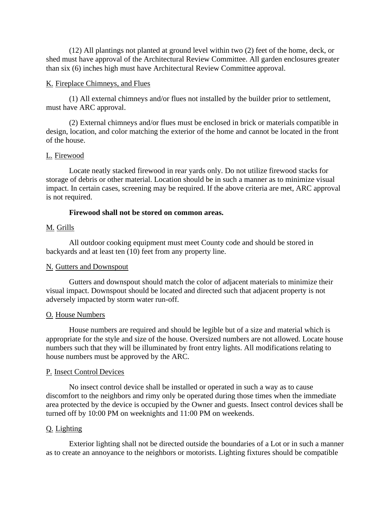(12) All plantings not planted at ground level within two (2) feet of the home, deck, or shed must have approval of the Architectural Review Committee. All garden enclosures greater than six (6) inches high must have Architectural Review Committee approval.

#### K. Fireplace Chimneys, and Flues

(1) All external chimneys and/or flues not installed by the builder prior to settlement, must have ARC approval.

(2) External chimneys and/or flues must be enclosed in brick or materials compatible in design, location, and color matching the exterior of the home and cannot be located in the front of the house.

## L. Firewood

Locate neatly stacked firewood in rear yards only. Do not utilize firewood stacks for storage of debris or other material. Location should be in such a manner as to minimize visual impact. In certain cases, screening may be required. If the above criteria are met, ARC approval is not required.

## **Firewood shall not be stored on common areas.**

## M. Grills

All outdoor cooking equipment must meet County code and should be stored in backyards and at least ten (10) feet from any property line.

## N. Gutters and Downspout

Gutters and downspout should match the color of adjacent materials to minimize their visual impact. Downspout should be located and directed such that adjacent property is not adversely impacted by storm water run-off.

## O. House Numbers

House numbers are required and should be legible but of a size and material which is appropriate for the style and size of the house. Oversized numbers are not allowed. Locate house numbers such that they will be illuminated by front entry lights. All modifications relating to house numbers must be approved by the ARC.

#### P. Insect Control Devices

No insect control device shall be installed or operated in such a way as to cause discomfort to the neighbors and rimy only be operated during those times when the immediate area protected by the device is occupied by the Owner and guests. Insect control devices shall be turned off by 10:00 PM on weeknights and 11:00 PM on weekends.

## Q. Lighting

Exterior lighting shall not be directed outside the boundaries of a Lot or in such a manner as to create an annoyance to the neighbors or motorists. Lighting fixtures should be compatible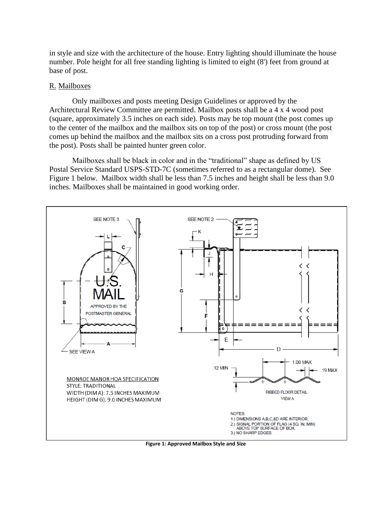in style and size with the architecture of the house. Entry lighting should illuminate the house number. Pole height for all free standing lighting is limited to eight (8') feet from ground at base of post.

#### R. Mailboxes

Only mailboxes and posts meeting Design Guidelines or approved by the Architectural Review Committee are permitted. Mailbox posts shall be a 4 x 4 wood post (square, approximately 3.5 inches on each side). Posts may be top mount (the post comes up to the center of the mailbox and the mailbox sits on top of the post) or cross mount (the post comes up behind the mailbox and the mailbox sits on a cross post protruding forward from the post). Posts shall be painted hunter green color.

Mailboxes shall be black in color and in the "traditional" shape as defined by US Postal Service Standard USPS-STD-7C (sometimes referred to as a rectangular dome). See Figure 1 below. Mailbox width shall be less than 7.5 inches and height shall be less than 9.0 inches. Mailboxes shall be maintained in good working order.



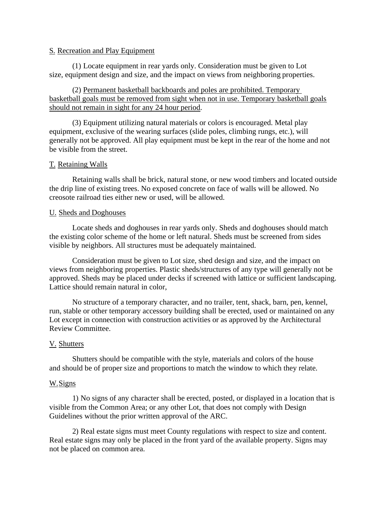## S. Recreation and Play Equipment

(1) Locate equipment in rear yards only. Consideration must be given to Lot size, equipment design and size, and the impact on views from neighboring properties.

(2) Permanent basketball backboards and poles are prohibited. Temporary basketball goals must be removed from sight when not in use. Temporary basketball goals should not remain in sight for any 24 hour period.

(3) Equipment utilizing natural materials or colors is encouraged. Metal play equipment, exclusive of the wearing surfaces (slide poles, climbing rungs, etc.), will generally not be approved. All play equipment must be kept in the rear of the home and not be visible from the street.

### T. Retaining Walls

Retaining walls shall be brick, natural stone, or new wood timbers and located outside the drip line of existing trees. No exposed concrete on face of walls will be allowed. No creosote railroad ties either new or used, will be allowed.

#### U. Sheds and Doghouses

Locate sheds and doghouses in rear yards only. Sheds and doghouses should match the existing color scheme of the home or left natural. Sheds must be screened from sides visible by neighbors. All structures must be adequately maintained.

Consideration must be given to Lot size, shed design and size, and the impact on views from neighboring properties. Plastic sheds/structures of any type will generally not be approved. Sheds may be placed under decks if screened with lattice or sufficient landscaping. Lattice should remain natural in color,

No structure of a temporary character, and no trailer, tent, shack, barn, pen, kennel, run, stable or other temporary accessory building shall be erected, used or maintained on any Lot except in connection with construction activities or as approved by the Architectural Review Committee.

## V. Shutters

Shutters should be compatible with the style, materials and colors of the house and should be of proper size and proportions to match the window to which they relate.

#### W.Signs

1) No signs of any character shall be erected, posted, or displayed in a location that is visible from the Common Area; or any other Lot, that does not comply with Design Guidelines without the prior written approval of the ARC.

2) Real estate signs must meet County regulations with respect to size and content. Real estate signs may only be placed in the front yard of the available property. Signs may not be placed on common area.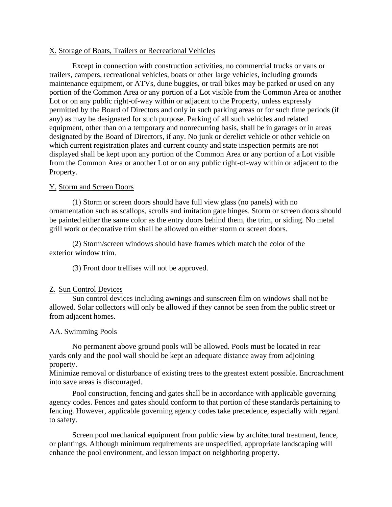## X. Storage of Boats, Trailers or Recreational Vehicles

Except in connection with construction activities, no commercial trucks or vans or trailers, campers, recreational vehicles, boats or other large vehicles, including grounds maintenance equipment, or ATVs, dune buggies, or trail bikes may be parked or used on any portion of the Common Area or any portion of a Lot visible from the Common Area or another Lot or on any public right-of-way within or adjacent to the Property, unless expressly permitted by the Board of Directors and only in such parking areas or for such time periods (if any) as may be designated for such purpose. Parking of all such vehicles and related equipment, other than on a temporary and nonrecurring basis, shall be in garages or in areas designated by the Board of Directors, if any. No junk or derelict vehicle or other vehicle on which current registration plates and current county and state inspection permits are not displayed shall be kept upon any portion of the Common Area or any portion of a Lot visible from the Common Area or another Lot or on any public right-of-way within or adjacent to the Property.

## Y. Storm and Screen Doors

(1) Storm or screen doors should have full view glass (no panels) with no ornamentation such as scallops, scrolls and imitation gate hinges. Storm or screen doors should be painted either the same color as the entry doors behind them, the trim, or siding. No metal grill work or decorative trim shall be allowed on either storm or screen doors.

(2) Storm/screen windows should have frames which match the color of the exterior window trim.

(3) Front door trellises will not be approved.

## Z. Sun Control Devices

Sun control devices including awnings and sunscreen film on windows shall not be allowed. Solar collectors will only be allowed if they cannot be seen from the public street or from adjacent homes.

## AA. Swimming Pools

No permanent above ground pools will be allowed. Pools must be located in rear yards only and the pool wall should be kept an adequate distance away from adjoining property.

Minimize removal or disturbance of existing trees to the greatest extent possible. Encroachment into save areas is discouraged.

Pool construction, fencing and gates shall be in accordance with applicable governing agency codes. Fences and gates should conform to that portion of these standards pertaining to fencing. However, applicable governing agency codes take precedence, especially with regard to safety.

Screen pool mechanical equipment from public view by architectural treatment, fence, or plantings. Although minimum requirements are unspecified, appropriate landscaping will enhance the pool environment, and lesson impact on neighboring property.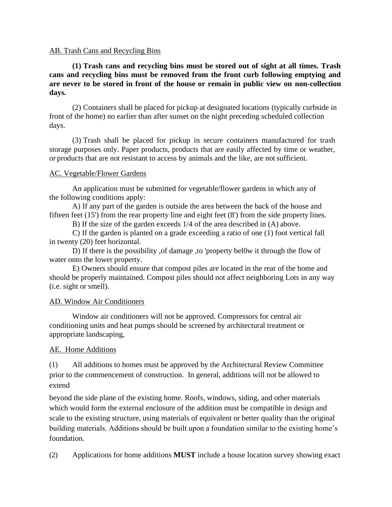## AB. Trash Cans and Recycling Bins

**(1) Trash cans and recycling bins must be stored out of sight at all times. Trash cans and recycling bins must be removed from the front curb following emptying and are never to be stored in front of the house or remain in public view on non-collection days.**

(2) Containers shall be placed for pickup at designated locations (typically curbside in front of the home) no earlier than after sunset on the night preceding scheduled collection days.

(3) Trash shall be placed for pickup in secure containers manufactured for trash storage purposes only. Paper products, products that are easily affected by time or weather, or products that are not resistant to access by animals and the like, are notsufficient.

### AC. Vegetable/Flower Gardens

An application must be submitted for vegetable/flower gardens in which any of the following conditions apply:

A) If any part of the garden is outside the area between the back of the house and fifteen feet (15') from the rear property line and eight feet (8') from the side property lines.

B) If the size of the garden exceeds 1/4 of the area described in (A) above.

C) If the garden is planted on a grade exceeding a ratio of one (1) foot vertical fall in twenty (20) feet horizontal.

D) If there is the possibility ,of damage ,to 'property bel0w it through the flow of water onto the lower property.

E) Owners should ensure that compost piles are located in the rear of the home and should be properly maintained. Compost piles should not affect neighboring Lots in any way (i.e. sight or smell).

## AD. Window Air Conditioners

Window air conditioners will not be approved. Compressors for central air conditioning units and heat pumps should be screened by architectural treatment or appropriate landscaping,

## AE. Home Additions

(1) All additions to homes must be approved by the Architectural Review Committee prior to the commencement of construction. In general, additions will not be allowed to extend

beyond the side plane of the existing home. Roofs, windows, siding, and other materials which would form the external enclosure of the addition must be compatible in design and scale to the existing structure, using materials of equivalent or better quality than the original building materials. Additions should be built upon a foundation similar to the existing home's foundation.

(2) Applications for home additions **MUST** include a house location survey showing exact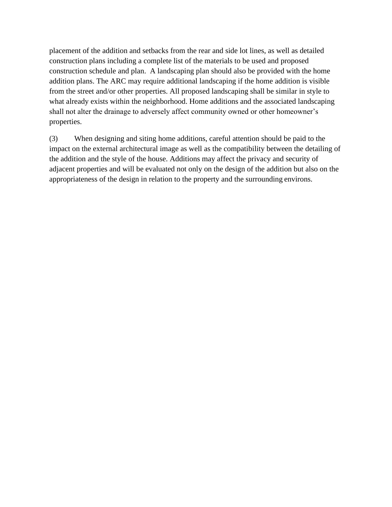placement of the addition and setbacks from the rear and side lot lines, as well as detailed construction plans including a complete list of the materials to be used and proposed construction schedule and plan. A landscaping plan should also be provided with the home addition plans. The ARC may require additional landscaping if the home addition is visible from the street and/or other properties. All proposed landscaping shall be similar in style to what already exists within the neighborhood. Home additions and the associated landscaping shall not alter the drainage to adversely affect community owned or other homeowner's properties.

(3) When designing and siting home additions, careful attention should be paid to the impact on the external architectural image as well as the compatibility between the detailing of the addition and the style of the house. Additions may affect the privacy and security of adjacent properties and will be evaluated not only on the design of the addition but also on the appropriateness of the design in relation to the property and the surrounding environs.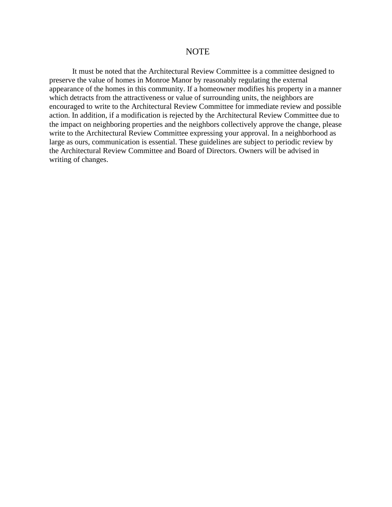## **NOTE**

It must be noted that the Architectural Review Committee is a committee designed to preserve the value of homes in Monroe Manor by reasonably regulating the external appearance of the homes in this community. If a homeowner modifies his property in a manner which detracts from the attractiveness or value of surrounding units, the neighbors are encouraged to write to the Architectural Review Committee for immediate review and possible action. In addition, if a modification is rejected by the Architectural Review Committee due to the impact on neighboring properties and the neighbors collectively approve the change, please write to the Architectural Review Committee expressing your approval. In a neighborhood as large as ours, communication is essential. These guidelines are subject to periodic review by the Architectural Review Committee and Board of Directors. Owners will be advised in writing of changes.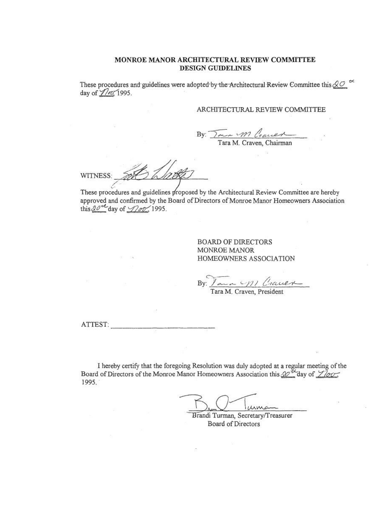#### MONROE MANOR ARCHITECTURAL REVIEW COMMITTEE DESIGN GUIDELINES

These procedures and guidelines were adopted by the Architectural Review Committee this  $\Diamond \mathcal{O} \stackrel{\leftrightarrow}{=}$ day of *Ylov*, 1995.

#### ARCHITECTURAL REVIEW COMMITTEE

By:  $\sqrt{\frac{m}{\pi}}$  1*M* Craces

WITNESS:

These procedures and guidelines proposed by the Architectural Review Committee are hereby approved and confirmed by the Board of Directors of Monroe Manor Homeowners Association this  $20^{-6}$  day of  $\sqrt{200}$ , 1995.

> **BOARD OF DIRECTORS** MONROE MANOR HOMEOWNERS ASSOCIATION

Jana 1911 Crauex  $Bv$ :

ATTEST:

I hereby certify that the foregoing Resolution was duly adopted at a regular meeting of the Board of Directors of the Monroe Manor Homeowners Association this  $\mathcal{D}^{\mathcal{D}}$  day of  $\angle$  lov, 1995.

Brandi Turman, Secretary/Treasurer Board of Directors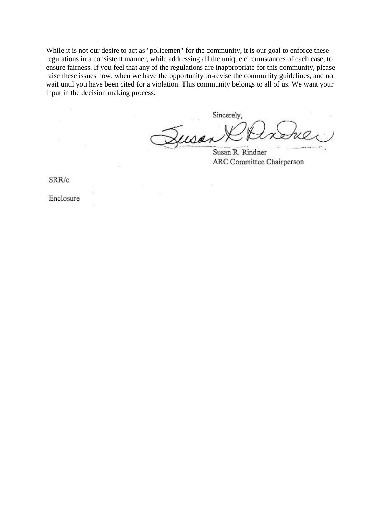While it is not our desire to act as "policemen" for the community, it is our goal to enforce these regulations in a consistent manner, while addressing all the unique circumstances of each case, to ensure fairness. If you feel that any of the regulations are inappropriate for this community, please raise these issues now, when we have the opportunity to-revise the community guidelines, and not wait until you have been cited for a violation. This community belongs to all of us. We want your input in the decision making process.

Sincerely, usa

Susan R. Rindner ARC Committee Chairperson

SRR/c

Enclosure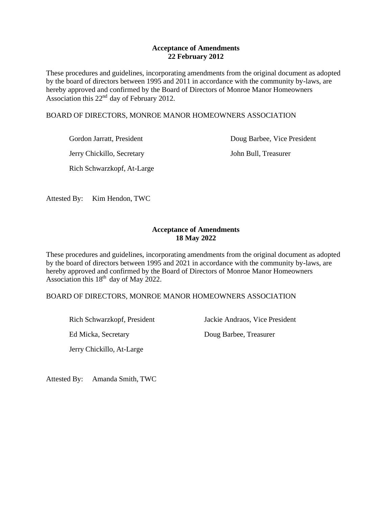## **Acceptance of Amendments 22 February 2012**

These procedures and guidelines, incorporating amendments from the original document as adopted by the board of directors between 1995 and 2011 in accordance with the community by-laws, are hereby approved and confirmed by the Board of Directors of Monroe Manor Homeowners Association this  $22<sup>nd</sup>$  day of February 2012.

### BOARD OF DIRECTORS, MONROE MANOR HOMEOWNERS ASSOCIATION

Jerry Chickillo, Secretary John Bull, Treasurer

Rich Schwarzkopf, At-Large

Gordon Jarratt, President **Doug Barbee**, Vice President

Attested By: Kim Hendon, TWC

## **Acceptance of Amendments 18 May 2022**

These procedures and guidelines, incorporating amendments from the original document as adopted by the board of directors between 1995 and 2021 in accordance with the community by-laws, are hereby approved and confirmed by the Board of Directors of Monroe Manor Homeowners Association this  $18<sup>th</sup>$  day of May 2022.

## BOARD OF DIRECTORS, MONROE MANOR HOMEOWNERS ASSOCIATION

Jerry Chickillo, At-Large

Rich Schwarzkopf, President Jackie Andraos, Vice President

Ed Micka, Secretary Doug Barbee, Treasurer

Attested By: Amanda Smith, TWC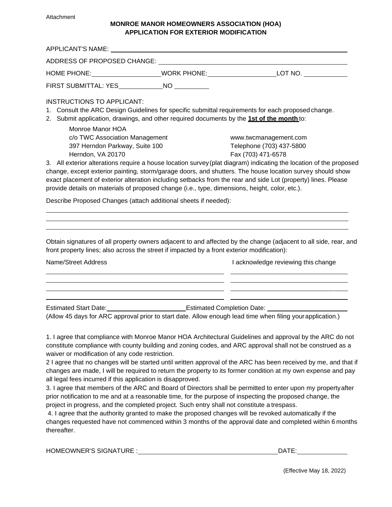#### Attachment

#### **MONROE MANOR HOMEOWNERS ASSOCIATION (HOA) APPLICATION FOR EXTERIOR MODIFICATION**

| APPLICANT'S NAME: A PRODUCT AND A PRODUCT A SERVICE OF A SERVICE OF A SERVICE OF A SERVICE OF A SERVICE OF A S                                                                                                                                                                                                                                                                                                                                                                                                                                                                                                         |  |                                                                                                                                                                                                                                                                                                                                                                                                                                                            |
|------------------------------------------------------------------------------------------------------------------------------------------------------------------------------------------------------------------------------------------------------------------------------------------------------------------------------------------------------------------------------------------------------------------------------------------------------------------------------------------------------------------------------------------------------------------------------------------------------------------------|--|------------------------------------------------------------------------------------------------------------------------------------------------------------------------------------------------------------------------------------------------------------------------------------------------------------------------------------------------------------------------------------------------------------------------------------------------------------|
| ADDRESS OF PROPOSED CHANGE: University of the contract of the contract of the contract of the contract of the contract of the contract of the contract of the contract of the contract of the contract of the contract of the                                                                                                                                                                                                                                                                                                                                                                                          |  |                                                                                                                                                                                                                                                                                                                                                                                                                                                            |
|                                                                                                                                                                                                                                                                                                                                                                                                                                                                                                                                                                                                                        |  | HOME PHONE:________________________WORK PHONE:_________________________LOT NO. ____________________                                                                                                                                                                                                                                                                                                                                                        |
| FIRST SUBMITTAL: YES______________NO __________                                                                                                                                                                                                                                                                                                                                                                                                                                                                                                                                                                        |  |                                                                                                                                                                                                                                                                                                                                                                                                                                                            |
| <b>INSTRUCTIONS TO APPLICANT:</b><br>2. Submit application, drawings, and other required documents by the 1st of the month to:<br>Monroe Manor HOA                                                                                                                                                                                                                                                                                                                                                                                                                                                                     |  | 1. Consult the ARC Design Guidelines for specific submittal requirements for each proposed change.                                                                                                                                                                                                                                                                                                                                                         |
| c/o TWC Association Management<br>www.twcmanagement.com<br>397 Herndon Parkway, Suite 100<br>Telephone (703) 437-5800<br>Fax (703) 471-6578<br>Herndon, VA 20170<br>3. All exterior alterations require a house location survey (plat diagram) indicating the location of the proposed<br>change, except exterior painting, storm/garage doors, and shutters. The house location survey should show<br>exact placement of exterior alteration including setbacks from the rear and side Lot (property) lines. Please<br>provide details on materials of proposed change (i.e., type, dimensions, height, color, etc.). |  |                                                                                                                                                                                                                                                                                                                                                                                                                                                            |
| Describe Proposed Changes (attach additional sheets if needed):                                                                                                                                                                                                                                                                                                                                                                                                                                                                                                                                                        |  |                                                                                                                                                                                                                                                                                                                                                                                                                                                            |
| front property lines; also across the street if impacted by a front exterior modification):                                                                                                                                                                                                                                                                                                                                                                                                                                                                                                                            |  | Obtain signatures of all property owners adjacent to and affected by the change (adjacent to all side, rear, and                                                                                                                                                                                                                                                                                                                                           |
| Name/Street Address                                                                                                                                                                                                                                                                                                                                                                                                                                                                                                                                                                                                    |  | I acknowledge reviewing this change                                                                                                                                                                                                                                                                                                                                                                                                                        |
|                                                                                                                                                                                                                                                                                                                                                                                                                                                                                                                                                                                                                        |  |                                                                                                                                                                                                                                                                                                                                                                                                                                                            |
|                                                                                                                                                                                                                                                                                                                                                                                                                                                                                                                                                                                                                        |  | Estimated Start Date: 1990 March 2010 Lettimated Completion Date: 2008 March 2010 March 2010 March 2010 March 2010 March 2010 March 2010 March 2010 March 2010 March 2010 March 2010 March 2010 March 2010 March 2010 March 20<br>(Allow 45 days for ARC approval prior to start date. Allow enough lead time when filing your application.)                                                                                                               |
| waiver or modification of any code restriction.<br>all legal fees incurred if this application is disapproved.                                                                                                                                                                                                                                                                                                                                                                                                                                                                                                         |  | 1. I agree that compliance with Monroe Manor HOA Architectural Guidelines and approval by the ARC do not<br>constitute compliance with county building and zoning codes, and ARC approval shall not be construed as a<br>2 I agree that no changes will be started until written approval of the ARC has been received by me, and that if<br>changes are made, I will be required to return the property to its former condition at my own expense and pay |

3. I agree that members of the ARC and Board of Directors shall be permitted to enter upon my propertyafter prior notification to me and at a reasonable time, for the purpose of inspecting the proposed change, the project in progress, and the completed project. Such entry shall not constitute a trespass.

4. I agree that the authority granted to make the proposed changes will be revoked automatically if the changes requested have not commenced within 3 months of the approval date and completed within 6 months thereafter.

HOMEOWNER'S SIGNATURE : DATE: